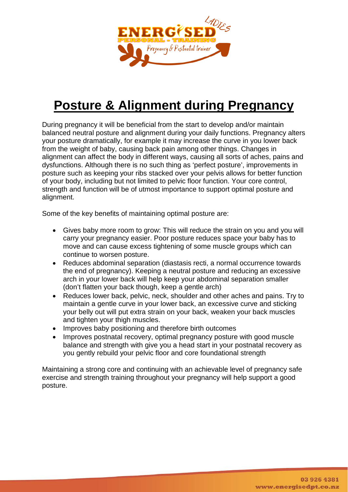

## **Posture & Alignment during Pregnancy**

During pregnancy it will be beneficial from the start to develop and/or maintain balanced neutral posture and alignment during your daily functions. Pregnancy alters your posture dramatically, for example it may increase the curve in you lower back from the weight of baby, causing back pain among other things. Changes in alignment can affect the body in different ways, causing all sorts of aches, pains and dysfunctions. Although there is no such thing as 'perfect posture', improvements in posture such as keeping your ribs stacked over your pelvis allows for better function of your body, including but not limited to pelvic floor function. Your core control, strength and function will be of utmost importance to support optimal posture and alignment.

Some of the key benefits of maintaining optimal posture are:

- Gives baby more room to grow: This will reduce the strain on you and you will carry your pregnancy easier. Poor posture reduces space your baby has to move and can cause excess tightening of some muscle groups which can continue to worsen posture.
- Reduces abdominal separation (diastasis recti, a normal occurrence towards the end of pregnancy). Keeping a neutral posture and reducing an excessive arch in your lower back will help keep your abdominal separation smaller (don't flatten your back though, keep a gentle arch)
- Reduces lower back, pelvic, neck, shoulder and other aches and pains. Try to maintain a gentle curve in your lower back, an excessive curve and sticking your belly out will put extra strain on your back, weaken your back muscles and tighten your thigh muscles.
- Improves baby positioning and therefore birth outcomes
- Improves postnatal recovery, optimal pregnancy posture with good muscle balance and strength with give you a head start in your postnatal recovery as you gently rebuild your pelvic floor and core foundational strength

Maintaining a strong core and continuing with an achievable level of pregnancy safe exercise and strength training throughout your pregnancy will help support a good posture.